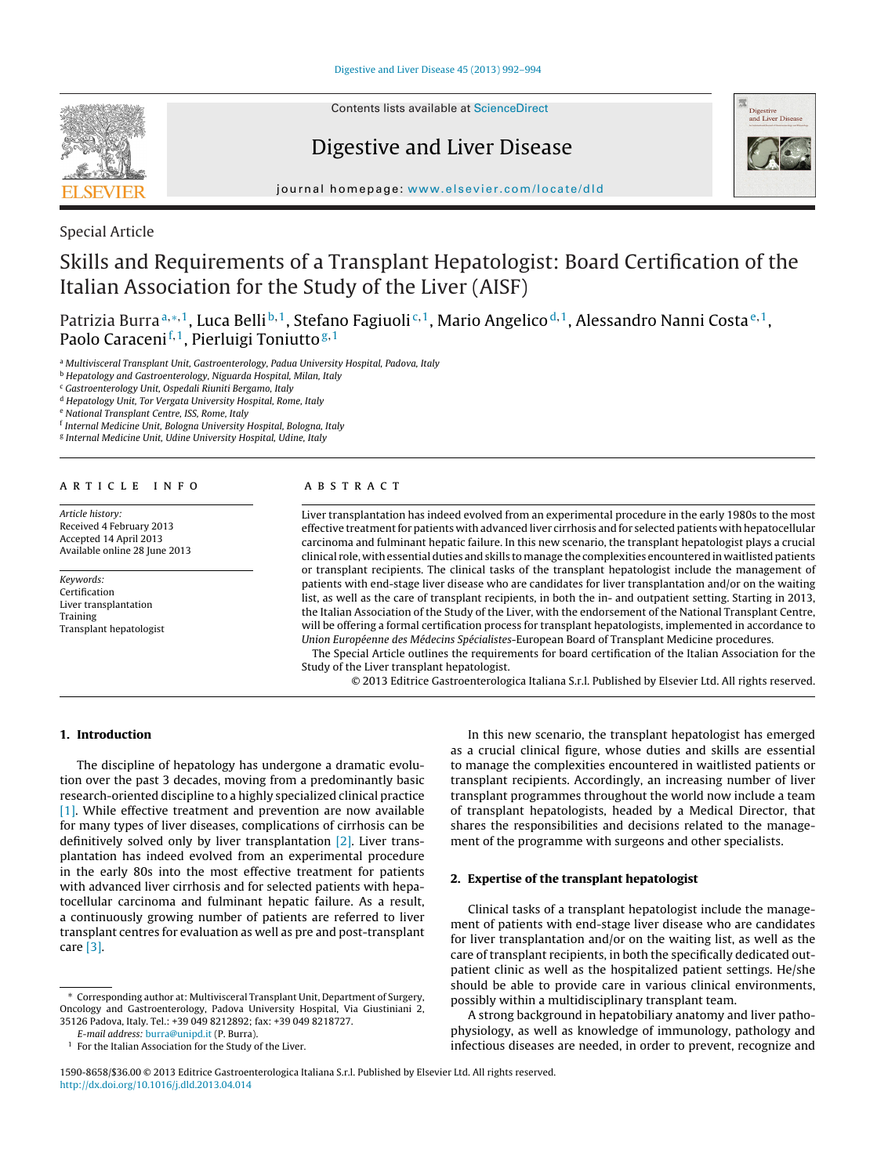

Contents lists available at [ScienceDirect](http://www.sciencedirect.com/science/journal/15908658)

# Digestive and Liver Disease



jour nal homepage: [www.elsevier.com/locate/dld](http://www.elsevier.com/locate/dld)

Special Article

# Skills and Requirements of a Transplant Hepatologist: Board Certification of the Italian Association for the Study of the Liver (AISF)

Patrizia Burra<sup>a,∗,1</sup>, Luca Belli<sup>b,1</sup>, Stefano Fagiuoli<sup>c,1</sup>, Mario Angelico<sup>d,1</sup>, Alessandro Nanni Costa<sup>e,1</sup>, Paolo Caraceni<sup>f, 1</sup>, Pierluigi Toniutto<sup>g, 1</sup>

a Multivisceral Transplant Unit, Gastroenterology, Padua University Hospital, Padova, Italy

**b Hepatology and Gastroenterology, Niguarda Hospital, Milan, Italy** 

<sup>c</sup> Gastroenterology Unit, Ospedali Riuniti Bergamo, Italy

<sup>d</sup> Hepatology Unit, Tor Vergata University Hospital, Rome, Italy

<sup>e</sup> National Transplant Centre, ISS, Rome, Italy

<sup>f</sup> Internal Medicine Unit, Bologna University Hospital, Bologna, Italy

<sup>g</sup> Internal Medicine Unit, Udine University Hospital, Udine, Italy

## a r t i c l e i n f o

Article history: Received 4 February 2013 Accepted 14 April 2013 Available online 28 June 2013

Keywords: Certification Liver transplantation Training Transplant hepatologist

# a b s t r a c t

Liver transplantation has indeed evolved from an experimental procedure in the early 1980s to the most effective treatmentfor patients with advanced liver cirrhosis and for selected patients with hepatocellular carcinoma and fulminant hepatic failure. In this new scenario, the transplant hepatologist plays a crucial clinical role, withessentialduties andskills tomanage the complexities encounteredin waitlistedpatients or transplant recipients. The clinical tasks of the transplant hepatologist include the management of patients with end-stage liver disease who are candidates for liver transplantation and/or on the waiting list, as well as the care of transplant recipients, in both the in- and outpatient setting. Starting in 2013, the Italian Association of the Study of the Liver, with the endorsement of the National Transplant Centre, will be offering a formal certification process for transplant hepatologists, implemented in accordance to Union Européenne des Médecins Spécialistes-European Board of Transplant Medicine procedures.

The Special Article outlines the requirements for board certification of the Italian Association for the Study of the Liver transplant hepatologist.

© 2013 Editrice Gastroenterologica Italiana S.r.l. Published by Elsevier Ltd. All rights reserved.

## **1. Introduction**

The discipline of hepatology has undergone a dramatic evolution over the past 3 decades, moving from a predominantly basic research-oriented discipline to a highly specialized clinical practice [\[1\].](#page-2-0) While effective treatment and prevention are now available for many types of liver diseases, complications of cirrhosis can be definitively solved only by liver transplantation [\[2\].](#page-2-0) Liver transplantation has indeed evolved from an experimental procedure in the early 80s into the most effective treatment for patients with advanced liver cirrhosis and for selected patients with hepatocellular carcinoma and fulminant hepatic failure. As a result, a continuously growing number of patients are referred to liver transplant centres for evaluation as well as pre and post-transplant care [\[3\].](#page-2-0)

E-mail address: [burra@unipd.it](mailto:burra@unipd.it) (P. Burra).

In this new scenario, the transplant hepatologist has emerged as a crucial clinical figure, whose duties and skills are essential to manage the complexities encountered in waitlisted patients or transplant recipients. Accordingly, an increasing number of liver transplant programmes throughout the world now include a team of transplant hepatologists, headed by a Medical Director, that shares the responsibilities and decisions related to the management of the programme with surgeons and other specialists.

### **2. Expertise of the transplant hepatologist**

Clinical tasks of a transplant hepatologist include the management of patients with end-stage liver disease who are candidates for liver transplantation and/or on the waiting list, as well as the care of transplant recipients, in both the specifically dedicated outpatient clinic as well as the hospitalized patient settings. He/she should be able to provide care in various clinical environments, possibly within a multidisciplinary transplant team.

A strong background in hepatobiliary anatomy and liver pathophysiology, as well as knowledge of immunology, pathology and infectious diseases are needed, in order to prevent, recognize and

<sup>∗</sup> Corresponding author at: Multivisceral Transplant Unit, Department of Surgery, Oncology and Gastroenterology, Padova University Hospital, Via Giustiniani 2, 35126 Padova, Italy. Tel.: +39 049 8212892; fax: +39 049 8218727.

 $1$  For the Italian Association for the Study of the Liver.

<sup>1590-8658/\$36.00</sup> © 2013 Editrice Gastroenterologica Italiana S.r.l. Published by Elsevier Ltd. All rights reserved. [http://dx.doi.org/10.1016/j.dld.2013.04.014](dx.doi.org/10.1016/j.dld.2013.04.014)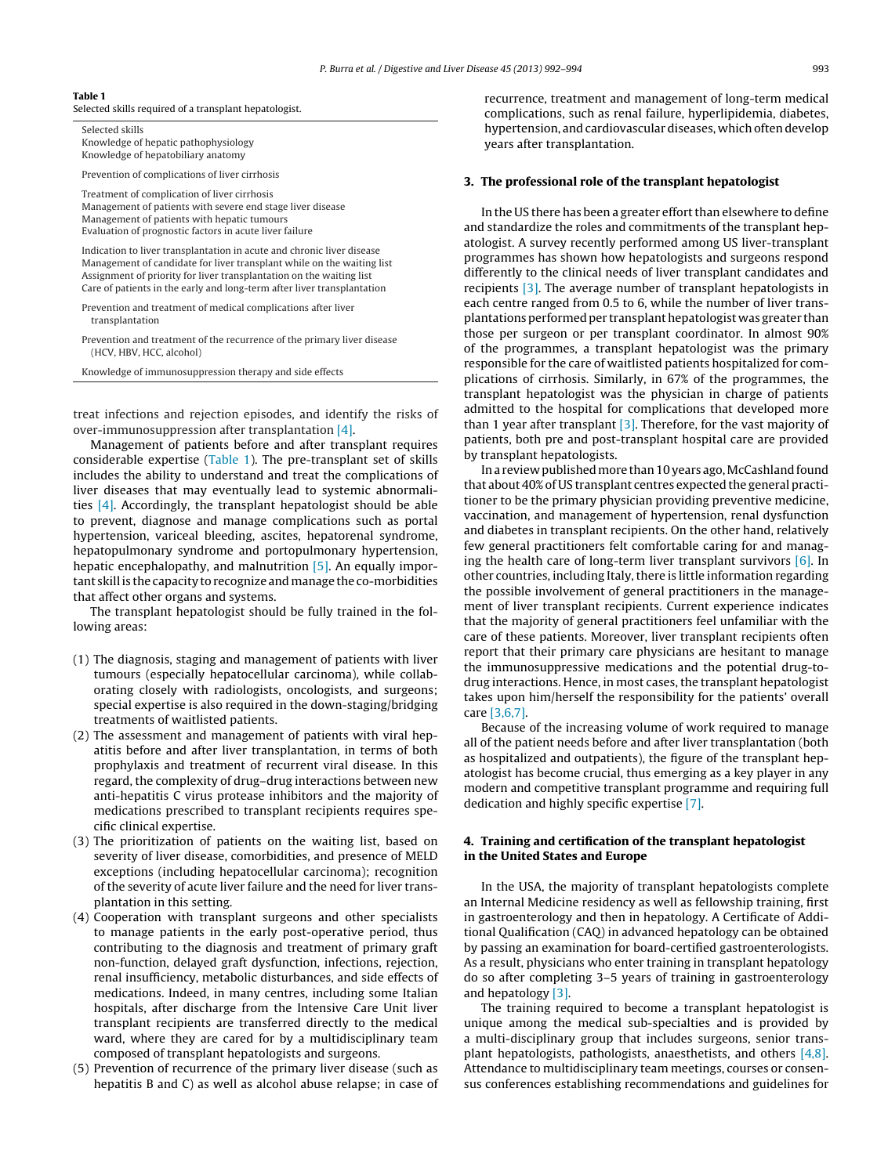#### **Table 1**

Selected skills required of a transplant hepatologist.

Selected skills Knowledge of hepatic pathophysiology Knowledge of hepatobiliary anatomy

Prevention of complications of liver cirrhosis

Treatment of complication of liver cirrhosis Management of patients with severe end stage liver disease Management of patients with hepatic tumours Evaluation of prognostic factors in acute liver failure

Indication to liver transplantation in acute and chronic liver disease Management of candidate for liver transplant while on the waiting list Assignment of priority for liver transplantation on the waiting list Care of patients in the early and long-term after liver transplantation

Prevention and treatment of medical complications after liver transplantation

Prevention and treatment of the recurrence of the primary liver disease (HCV, HBV, HCC, alcohol)

Knowledge of immunosuppression therapy and side effects

treat infections and rejection episodes, and identify the risks of over-immunosuppression after transplantation [\[4\].](#page-2-0)

Management of patients before and after transplant requires considerable expertise (Table 1). The pre-transplant set of skills includes the ability to understand and treat the complications of liver diseases that may eventually lead to systemic abnormalities [\[4\].](#page-2-0) Accordingly, the transplant hepatologist should be able to prevent, diagnose and manage complications such as portal hypertension, variceal bleeding, ascites, hepatorenal syndrome, hepatopulmonary syndrome and portopulmonary hypertension, hepatic encephalopathy, and malnutrition [\[5\].](#page-2-0) An equally important skill is the capacity to recognize and manage the co-morbidities that affect other organs and systems.

The transplant hepatologist should be fully trained in the following areas:

- (1) The diagnosis, staging and management of patients with liver tumours (especially hepatocellular carcinoma), while collaborating closely with radiologists, oncologists, and surgeons; special expertise is also required in the down-staging/bridging treatments of waitlisted patients.
- (2) The assessment and management of patients with viral hepatitis before and after liver transplantation, in terms of both prophylaxis and treatment of recurrent viral disease. In this regard, the complexity of drug–drug interactions between new anti-hepatitis C virus protease inhibitors and the majority of medications prescribed to transplant recipients requires specific clinical expertise.
- (3) The prioritization of patients on the waiting list, based on severity of liver disease, comorbidities, and presence of MELD exceptions (including hepatocellular carcinoma); recognition of the severity of acute liver failure and the need for liver transplantation in this setting.
- (4) Cooperation with transplant surgeons and other specialists to manage patients in the early post-operative period, thus contributing to the diagnosis and treatment of primary graft non-function, delayed graft dysfunction, infections, rejection, renal insufficiency, metabolic disturbances, and side effects of medications. Indeed, in many centres, including some Italian hospitals, after discharge from the Intensive Care Unit liver transplant recipients are transferred directly to the medical ward, where they are cared for by a multidisciplinary team composed of transplant hepatologists and surgeons.
- (5) Prevention of recurrence of the primary liver disease (such as hepatitis B and C) as well as alcohol abuse relapse; in case of

recurrence, treatment and management of long-term medical complications, such as renal failure, hyperlipidemia, diabetes, hypertension, and cardiovascular diseases, which often develop years after transplantation.

### **3. The professional role of the transplant hepatologist**

In the US there has been a greater effort than elsewhere to define and standardize the roles and commitments of the transplant hepatologist. A survey recently performed among US liver-transplant programmes has shown how hepatologists and surgeons respond differently to the clinical needs of liver transplant candidates and recipients [\[3\].](#page-2-0) The average number of transplant hepatologists in each centre ranged from 0.5 to 6, while the number of liver transplantations performed per transplant hepatologist was greater than those per surgeon or per transplant coordinator. In almost 90% of the programmes, a transplant hepatologist was the primary responsible for the care of waitlisted patients hospitalized for complications of cirrhosis. Similarly, in 67% of the programmes, the transplant hepatologist was the physician in charge of patients admitted to the hospital for complications that developed more than 1 year after transplant  $\left[3\right]$ . Therefore, for the vast majority of patients, both pre and post-transplant hospital care are provided by transplant hepatologists.

In a review published more than 10 years ago, McCashland found that about 40% of US transplant centres expected the general practitioner to be the primary physician providing preventive medicine, vaccination, and management of hypertension, renal dysfunction and diabetes in transplant recipients. On the other hand, relatively few general practitioners felt comfortable caring for and managing the health care of long-term liver transplant survivors  $[6]$ . In other countries, including Italy, there is little information regarding the possible involvement of general practitioners in the management of liver transplant recipients. Current experience indicates that the majority of general practitioners feel unfamiliar with the care of these patients. Moreover, liver transplant recipients often report that their primary care physicians are hesitant to manage the immunosuppressive medications and the potential drug-todrug interactions. Hence, in most cases, the transplant hepatologist takes upon him/herself the responsibility for the patients' overall care [\[3,6,7\].](#page-2-0)

Because of the increasing volume of work required to manage all of the patient needs before and after liver transplantation (both as hospitalized and outpatients), the figure of the transplant hepatologist has become crucial, thus emerging as a key player in any modern and competitive transplant programme and requiring full dedication and highly specific expertise [\[7\].](#page-2-0)

## **4. Training and certification of the transplant hepatologist in the United States and Europe**

In the USA, the majority of transplant hepatologists complete an Internal Medicine residency as well as fellowship training, first in gastroenterology and then in hepatology. A Certificate of Additional Qualification (CAQ) in advanced hepatology can be obtained by passing an examination for board-certified gastroenterologists. As a result, physicians who enter training in transplant hepatology do so after completing 3–5 years of training in gastroenterology and hepatology [\[3\].](#page-2-0)

The training required to become a transplant hepatologist is unique among the medical sub-specialties and is provided by a multi-disciplinary group that includes surgeons, senior transplant hepatologists, pathologists, anaesthetists, and others [\[4,8\].](#page-2-0) Attendance to multidisciplinary team meetings, courses or consensus conferences establishing recommendations and guidelines for